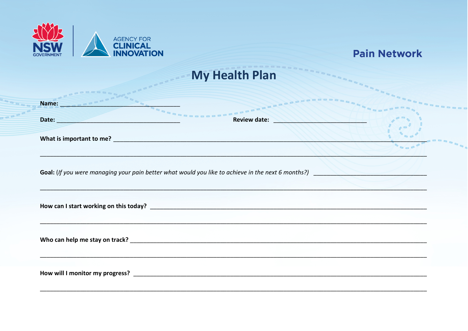

|  | <b>Pain Network</b> |  |
|--|---------------------|--|
|--|---------------------|--|

## **My Health Plan**

| Name:                                                                                              | <b>BOODDDDDDDDDDD</b>      |  |
|----------------------------------------------------------------------------------------------------|----------------------------|--|
| Date:                                                                                              | Review date: New York 1989 |  |
|                                                                                                    |                            |  |
| Goal: (If you were managing your pain better what would you like to achieve in the next 6 months?) |                            |  |
| How can I start working on this today?                                                             |                            |  |
|                                                                                                    |                            |  |
|                                                                                                    |                            |  |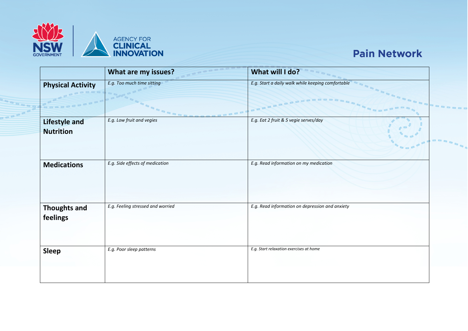

## **Pain Network**

|                                          | What are my issues?                      | What will I do?                                                    |  |
|------------------------------------------|------------------------------------------|--------------------------------------------------------------------|--|
| <b>Physical Activity</b>                 | E.g. Too much time sitting<br><b>PPP</b> | E.g. Start a daily walk while keeping comfortable<br><b>BRAARA</b> |  |
| <b>Lifestyle and</b><br><b>Nutrition</b> | E.g. Low fruit and vegies                | E.g. Eat 2 fruit & 5 vegie serves/day                              |  |
| <b>Medications</b>                       | E.g. Side effects of medication          | E.g. Read information on my medication                             |  |
| <b>Thoughts and</b><br>feelings          | E.g. Feeling stressed and worried        | E.g. Read information on depression and anxiety                    |  |
| <b>Sleep</b>                             | E.g. Poor sleep patterns                 | E.g. Start relaxation exercises at home                            |  |